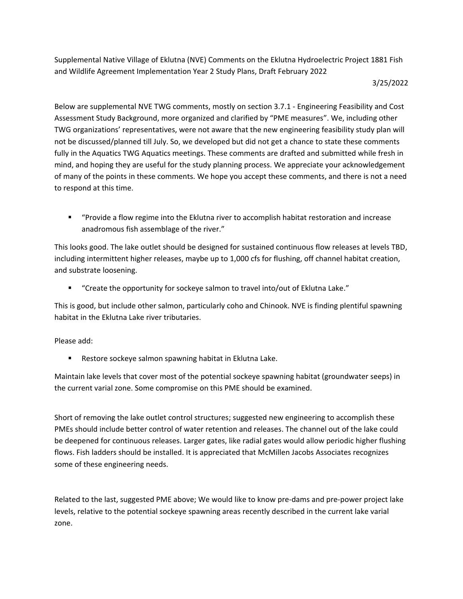Supplemental Native Village of Eklutna (NVE) Comments on the Eklutna Hydroelectric Project 1881 Fish and Wildlife Agreement Implementation Year 2 Study Plans, Draft February 2022

## 3/25/2022

Below are supplemental NVE TWG comments, mostly on section 3.7.1 - Engineering Feasibility and Cost Assessment Study Background, more organized and clarified by "PME measures". We, including other TWG organizations' representatives, were not aware that the new engineering feasibility study plan will not be discussed/planned till July. So, we developed but did not get a chance to state these comments fully in the Aquatics TWG Aquatics meetings. These comments are drafted and submitted while fresh in mind, and hoping they are useful for the study planning process. We appreciate your acknowledgement of many of the points in these comments. We hope you accept these comments, and there is not a need to respond at this time.

■ "Provide a flow regime into the Eklutna river to accomplish habitat restoration and increase anadromous fish assemblage of the river."

This looks good. The lake outlet should be designed for sustained continuous flow releases at levels TBD, including intermittent higher releases, maybe up to 1,000 cfs for flushing, off channel habitat creation, and substrate loosening.

■ "Create the opportunity for sockeye salmon to travel into/out of Eklutna Lake."

This is good, but include other salmon, particularly coho and Chinook. NVE is finding plentiful spawning habitat in the Eklutna Lake river tributaries.

## Please add:

Restore sockeye salmon spawning habitat in Eklutna Lake.

Maintain lake levels that cover most of the potential sockeye spawning habitat (groundwater seeps) in the current varial zone. Some compromise on this PME should be examined.

Short of removing the lake outlet control structures; suggested new engineering to accomplish these PMEs should include better control of water retention and releases. The channel out of the lake could be deepened for continuous releases. Larger gates, like radial gates would allow periodic higher flushing flows. Fish ladders should be installed. It is appreciated that McMillen Jacobs Associates recognizes some of these engineering needs.

Related to the last, suggested PME above; We would like to know pre-dams and pre-power project lake levels, relative to the potential sockeye spawning areas recently described in the current lake varial zone.